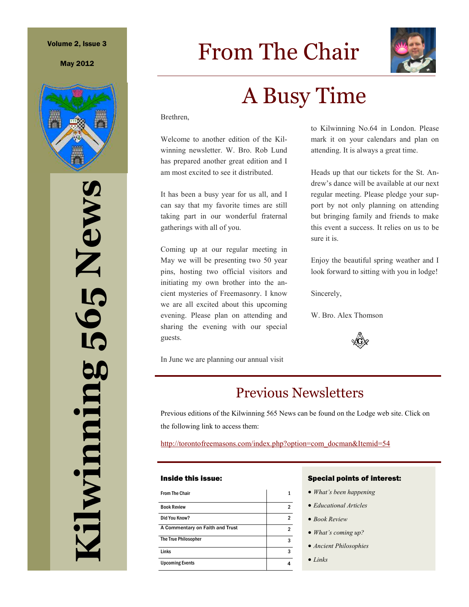## Volume 2, Issue 3

May 2012



**Kilwinning 565 News**  565 News diwinning

# From The Chair



# A Busy Time

Brethren,

Welcome to another edition of the Kilwinning newsletter. W. Bro. Rob Lund has prepared another great edition and I am most excited to see it distributed.

It has been a busy year for us all, and I can say that my favorite times are still taking part in our wonderful fraternal gatherings with all of you.

Coming up at our regular meeting in May we will be presenting two 50 year pins, hosting two official visitors and initiating my own brother into the ancient mysteries of Freemasonry. I know we are all excited about this upcoming evening. Please plan on attending and sharing the evening with our special guests.

In June we are planning our annual visit

to Kilwinning No.64 in London. Please mark it on your calendars and plan on attending. It is always a great time.

Heads up that our tickets for the St. Andrew's dance will be available at our next regular meeting. Please pledge your support by not only planning on attending but bringing family and friends to make this event a success. It relies on us to be sure it is.

Enjoy the beautiful spring weather and I look forward to sitting with you in lodge!

Sincerely,

W. Bro. Alex Thomson



# Previous Newsletters

Previous editions of the Kilwinning 565 News can be found on the Lodge web site. Click on the following link to access them:

http://torontofreemasons.com/index.php?option=com\_docman&Itemid=54

### Inside this issue:

| <b>From The Chair</b>           |   |
|---------------------------------|---|
| <b>Book Review</b>              | 2 |
| Did You Know?                   | 2 |
| A Commentary on Faith and Trust | 2 |
| The True Philosopher            | 3 |
| Links                           | 3 |
| <b>Upcoming Events</b>          |   |

### Special points of interest:

- *What's been happening*
- *Educational Articles*
- *Book Review*
- *What's coming up?*
- *Ancient Philosophies*
- *Links*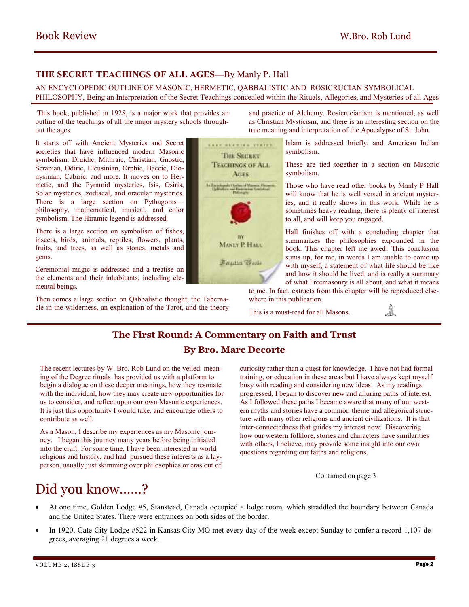# **THE SECRET TEACHINGS OF ALL AGES—**By Manly P. Hall

## AN ENCYCLOPEDIC OUTLINE OF MASONIC, HERMETIC, QABBALISTIC AND ROSICRUCIAN SYMBOLICAL PHILOSOPHY, Being an Interpretation of the Secret Teachings concealed within the Rituals, Allegories, and Mysteries of all Ages

 This book, published in 1928, is a major work that provides an outline of the teachings of all the major mystery schools throughout the ages.

It starts off with Ancient Mysteries and Secret societies that have influenced modern Masonic symbolism: Druidic, Mithraic, Christian, Gnostic, Serapian, Odiric, Eleusinian, Orphic, Baccic, Dionysinian, Cabiric, and more. It moves on to Hermetic, and the Pyramid mysteries, Isis, Osiris, Solar mysteries, zodiacal, and oracular mysteries. There is a large section on Pythagoras philosophy, mathematical, musical, and color symbolism. The Hiramic legend is addressed.

There is a large section on symbolism of fishes, insects, birds, animals, reptiles, flowers, plants, fruits, and trees, as well as stones, metals and gems.

Ceremonial magic is addressed and a treatise on the elements and their inhabitants, including elemental beings.

Then comes a large section on Qabbalistic thought, the Tabernacle in the wilderness, an explanation of the Tarot, and the theory

KAYA MEKRIMATERRERS **THE SECRET TEACHINGS OF ALL AGES** MANLY P. HALL Forgatten Thornie

and practice of Alchemy. Rosicrucianism is mentioned, as well as Christian Mysticism, and there is an interesting section on the true meaning and interpretation of the Apocalypse of St. John.

> Islam is addressed briefly, and American Indian symbolism.

> These are tied together in a section on Masonic symbolism.

> Those who have read other books by Manly P Hall will know that he is well versed in ancient mysteries, and it really shows in this work. While he is sometimes heavy reading, there is plenty of interest to all, and will keep you engaged.

> Hall finishes off with a concluding chapter that summarizes the philosophies expounded in the book. This chapter left me awed! This conclusion sums up, for me, in words I am unable to come up with myself, a statement of what life should be like and how it should be lived, and is really a summary of what Freemasonry is all about, and what it means

> > JL

to me. In fact, extracts from this chapter will be reproduced elsewhere in this publication.

This is a must-read for all Masons.

# **The First Round: A Commentary on Faith and Trust**

## **By Bro. Marc Decorte**

The recent lectures by W. Bro. Rob Lund on the veiled meaning of the Degree rituals has provided us with a platform to begin a dialogue on these deeper meanings, how they resonate with the individual, how they may create new opportunities for us to consider, and reflect upon our own Masonic experiences. It is just this opportunity I would take, and encourage others to contribute as well.

As a Mason, I describe my experiences as my Masonic journey. I began this journey many years before being initiated into the craft. For some time, I have been interested in world religions and history, and had pursued these interests as a layperson, usually just skimming over philosophies or eras out of curiosity rather than a quest for knowledge. I have not had formal training, or education in these areas but I have always kept myself busy with reading and considering new ideas. As my readings progressed, I began to discover new and alluring paths of interest. As I followed these paths I became aware that many of our western myths and stories have a common theme and allegorical structure with many other religions and ancient civilizations. It is that inter-connectedness that guides my interest now. Discovering how our western folklore, stories and characters have similarities with others, I believe, may provide some insight into our own questions regarding our faiths and religions.

Continued on page 3

# Did you know……?

- At one time, Golden Lodge #5, Stanstead, Canada occupied a lodge room, which straddled the boundary between Canada and the United States. There were entrances on both sides of the border.
- In 1920, Gate City Lodge #522 in Kansas City MO met every day of the week except Sunday to confer a record 1,107 degrees, averaging 21 degrees a week.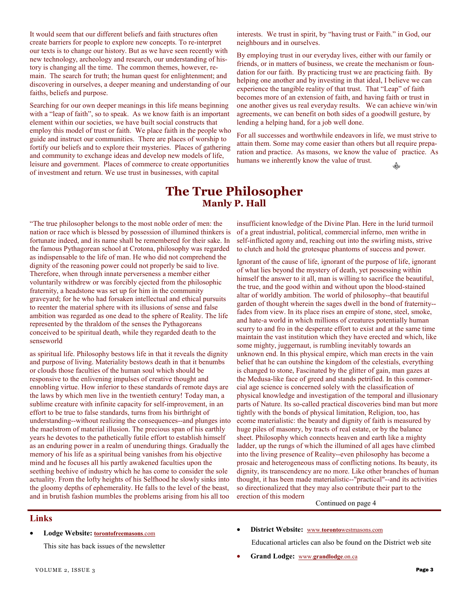It would seem that our different beliefs and faith structures often create barriers for people to explore new concepts. To re-interpret our texts is to change our history. But as we have seen recently with new technology, archeology and research, our understanding of history is changing all the time. The common themes, however, remain. The search for truth; the human quest for enlightenment; and discovering in ourselves, a deeper meaning and understanding of our faiths, beliefs and purpose.

Searching for our own deeper meanings in this life means beginning with a "leap of faith", so to speak. As we know faith is an important element within our societies, we have built social constructs that employ this model of trust or faith. We place faith in the people who guide and instruct our communities. There are places of worship to fortify our beliefs and to explore their mysteries. Places of gathering and community to exchange ideas and develop new models of life, leisure and government. Places of commerce to create opportunities of investment and return. We use trust in businesses, with capital

interests. We trust in spirit, by "having trust or Faith." in God, our neighbours and in ourselves.

By employing trust in our everyday lives, either with our family or friends, or in matters of business, we create the mechanism or foundation for our faith. By practicing trust we are practicing faith. By helping one another and by investing in that ideal, I believe we can experience the tangible reality of that trust. That "Leap" of faith becomes more of an extension of faith, and having faith or trust in one another gives us real everyday results. We can achieve win/win agreements, we can benefit on both sides of a goodwill gesture, by lending a helping hand, for a job well done.

For all successes and worthwhile endeavors in life, we must strive to attain them. Some may come easier than others but all require preparation and practice. As masons, we know the value of practice. As humans we inherently know the value of trust.

# **The True Philosopher Manly P. Hall**

"The true philosopher belongs to the most noble order of men: the nation or race which is blessed by possession of illumined thinkers is fortunate indeed, and its name shall be remembered for their sake. In the famous Pythagorean school at Crotona, philosophy was regarded as indispensable to the life of man. He who did not comprehend the dignity of the reasoning power could not properly be said to live. Therefore, when through innate perverseness a member either voluntarily withdrew or was forcibly ejected from the philosophic fraternity, a headstone was set up for him in the community graveyard; for he who had forsaken intellectual and ethical pursuits to reenter the material sphere with its illusions of sense and false ambition was regarded as one dead to the sphere of Reality. The life represented by the thraldom of the senses the Pythagoreans conceived to be spiritual death, while they regarded death to the senseworld

as spiritual life. Philosophy bestows life in that it reveals the dignity and purpose of living. Materiality bestows death in that it benumbs or clouds those faculties of the human soul which should be responsive to the enlivening impulses of creative thought and ennobling virtue. How inferior to these standards of remote days are the laws by which men live in the twentieth century! Today man, a sublime creature with infinite capacity for self-improvement, in an effort to be true to false standards, turns from his birthright of understanding--without realizing the consequences--and plunges into the maelstrom of material illusion. The precious span of his earthly years he devotes to the pathetically futile effort to establish himself as an enduring power in a realm of unenduring things. Gradually the memory of his life as a spiritual being vanishes from his objective mind and he focuses all his partly awakened faculties upon the seething beehive of industry which he has come to consider the sole actuality. From the lofty heights of his Selfhood he slowly sinks into the gloomy depths of ephemerality. He falls to the level of the beast, and in brutish fashion mumbles the problems arising from his all too

insufficient knowledge of the Divine Plan. Here in the lurid turmoil of a great industrial, political, commercial inferno, men writhe in self-inflicted agony and, reaching out into the swirling mists, strive to clutch and hold the grotesque phantoms of success and power.

Ignorant of the cause of life, ignorant of the purpose of life, ignorant of what lies beyond the mystery of death, yet possessing within himself the answer to it all, man is willing to sacrifice the beautiful, the true, and the good within and without upon the blood-stained altar of worldly ambition. The world of philosophy--that beautiful garden of thought wherein the sages dwell in the bond of fraternity- fades from view. In its place rises an empire of stone, steel, smoke, and hate-a world in which millions of creatures potentially human scurry to and fro in the desperate effort to exist and at the same time maintain the vast institution which they have erected and which, like some mighty, juggernaut, is rumbling inevitably towards an unknown end. In this physical empire, which man erects in the vain belief that he can outshine the kingdom of the celestials, everything is changed to stone, Fascinated by the glitter of gain, man gazes at the Medusa-like face of greed and stands petrified. In this commercial age science is concerned solely with the classification of physical knowledge and investigation of the temporal and illusionary parts of Nature. Its so-called practical discoveries bind man but more tightly with the bonds of physical limitation, Religion, too, has ecome materialistic: the beauty and dignity of faith is measured by huge piles of masonry, by tracts of real estate, or by the balance sheet. Philosophy which connects heaven and earth like a mighty ladder, up the rungs of which the illumined of all ages have climbed into the living presence of Reality--even philosophy has become a prosaic and heterogeneous mass of conflicting notions. Its beauty, its dignity, its transcendency are no more. Like other branches of human thought, it has been made materialistic--"practical"--and its activities so directionalized that they may also contribute their part to the erection of this modern

Continued on page 4

## **Links**

• **Lodge Website: torontofreemasons**.com

This site has back issues of the newsletter

• **District Website:** www.**toronto**westmasons.com

Educational articles can also be found on the District web site

• **Grand Lodge:** www.**grandlodge**.on.ca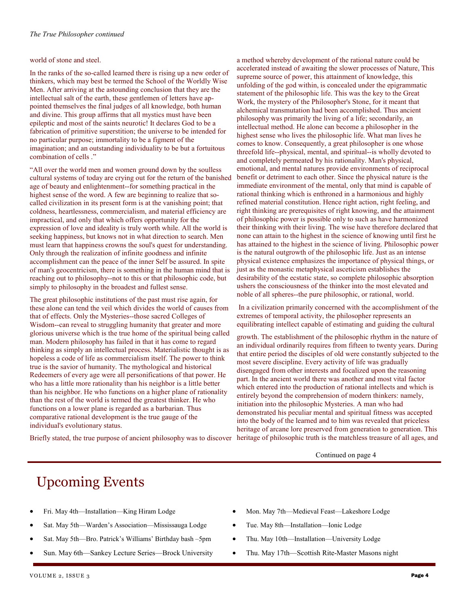### world of stone and steel.

In the ranks of the so-called learned there is rising up a new order of thinkers, which may best be termed the School of the Worldly Wise Men. After arriving at the astounding conclusion that they are the intellectual salt of the earth, these gentlemen of letters have appointed themselves the final judges of all knowledge, both human and divine. This group affirms that all mystics must have been epileptic and most of the saints neurotic! It declares God to be a fabrication of primitive superstition; the universe to be intended for no particular purpose; immortality to be a figment of the imagination; and an outstanding individuality to be but a fortuitous combination of cells ."

"All over the world men and women ground down by the soulless cultural systems of today are crying out for the return of the banished age of beauty and enlightenment--for something practical in the highest sense of the word. A few are beginning to realize that socalled civilization in its present form is at the vanishing point; that coldness, heartlessness, commercialism, and material efficiency are impractical, and only that which offers opportunity for the expression of love and ideality is truly worth while. All the world is seeking happiness, but knows not in what direction to search. Men must learn that happiness crowns the soul's quest for understanding. Only through the realization of infinite goodness and infinite accomplishment can the peace of the inner Self be assured. In spite of man's geocentricism, there is something in the human mind that is reaching out to philosophy--not to this or that philosophic code, but simply to philosophy in the broadest and fullest sense.

The great philosophic institutions of the past must rise again, for these alone can tend the veil which divides the world of causes from that of effects. Only the Mysteries--those sacred Colleges of Wisdom--can reveal to struggling humanity that greater and more glorious universe which is the true home of the spiritual being called man. Modern philosophy has failed in that it has come to regard thinking as simply an intellectual process. Materialistic thought is as hopeless a code of life as commercialism itself. The power to think true is the savior of humanity. The mythological and historical Redeemers of every age were all personifications of that power. He who has a little more rationality than his neighbor is a little better than his neighbor. He who functions on a higher plane of rationality than the rest of the world is termed the greatest thinker. He who functions on a lower plane is regarded as a barbarian. Thus comparative rational development is the true gauge of the individual's evolutionary status.

a method whereby development of the rational nature could be accelerated instead of awaiting the slower processes of Nature, This supreme source of power, this attainment of knowledge, this unfolding of the god within, is concealed under the epigrammatic statement of the philosophic life. This was the key to the Great Work, the mystery of the Philosopher's Stone, for it meant that alchemical transmutation had been accomplished. Thus ancient philosophy was primarily the living of a life; secondarily, an intellectual method. He alone can become a philosopher in the highest sense who lives the philosophic life. What man lives he comes to know. Consequently, a great philosopher is one whose threefold life--physical, mental, and spiritual--is wholly devoted to and completely permeated by his rationality. Man's physical, emotional, and mental natures provide environments of reciprocal benefit or detriment to each other. Since the physical nature is the immediate environment of the mental, only that mind is capable of rational thinking which is enthroned in a harmonious and highly refined material constitution. Hence right action, right feeling, and right thinking are prerequisites of right knowing, and the attainment of philosophic power is possible only to such as have harmonized their thinking with their living. The wise have therefore declared that none can attain to the highest in the science of knowing until first he has attained to the highest in the science of living. Philosophic power is the natural outgrowth of the philosophic life. Just as an intense physical existence emphasizes the importance of physical things, or just as the monastic metaphysical asceticism establishes the desirability of the ecstatic state, so complete philosophic absorption ushers the consciousness of the thinker into the most elevated and noble of all spheres--the pure philosophic, or rational, world.

 In a civilization primarily concerned with the accomplishment of the extremes of temporal activity, the philosopher represents an equilibrating intellect capable of estimating and guiding the cultural

growth. The establishment of the philosophic rhythm in the nature of an individual ordinarily requires from fifteen to twenty years. During that entire period the disciples of old were constantly subjected to the most severe discipline. Every activity of life was gradually disengaged from other interests and focalized upon the reasoning part. In the ancient world there was another and most vital factor which entered into the production of rational intellects and which is entirely beyond the comprehension of modern thinkers: namely, initiation into the philosophic Mysteries. A man who had demonstrated his peculiar mental and spiritual fitness was accepted into the body of the learned and to him was revealed that priceless heritage of arcane lore preserved from generation to generation. This heritage of philosophic truth is the matchless treasure of all ages, and

Continued on page 4

Briefly stated, the true purpose of ancient philosophy was to discover

# Upcoming Events

- Fri. May 4th—Installation—King Hiram Lodge
- Sat. May 5th—Warden's Association—Mississauga Lodge
- Sat. May 5th—Bro. Patrick's Williams' Birthday bash –5pm
- Sun. May 6th—Sankey Lecture Series—Brock University
- Mon. May 7th—Medieval Feast—Lakeshore Lodge
- Tue. May 8th—Installation—Ionic Lodge
- Thu. May 10th—Installation—University Lodge
- Thu. May 17th—Scottish Rite-Master Masons night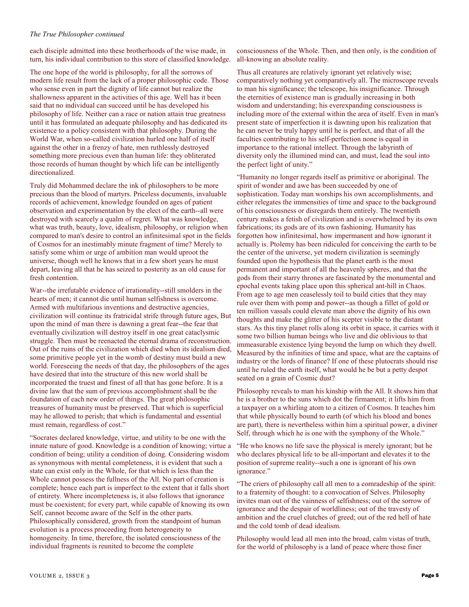#### *The True Philosopher continued*

each disciple admitted into these brotherhoods of the wise made, in turn, his individual contribution to this store of classified knowledge.

The one hope of the world is philosophy, for all the sorrows of modern life result from the lack of a proper philosophic code. Those who sense even in part the dignity of life cannot but realize the shallowness apparent in the activities of this age. Well has it been said that no individual can succeed until he has developed his philosophy of life. Neither can a race or nation attain true greatness until it has formulated an adequate philosophy and has dedicated its existence to a policy consistent with that philosophy. During the World War, when so-called civilization hurled one half of itself against the other in a frenzy of hate, men ruthlessly destroyed something more precious even than human life: they obliterated those records of human thought by which life can be intelligently directionalized.

Truly did Mohammed declare the ink of philosophers to be more precious than the blood of martyrs. Priceless documents, invaluable records of achievement, knowledge founded on ages of patient observation and experimentation by the elect of the earth--all were destroyed with scarcely a qualm of regret. What was knowledge, what was truth, beauty, love, idealism, philosophy, or religion when compared to man's desire to control an infinitesimal spot in the fields of Cosmos for an inestimably minute fragment of time? Merely to satisfy some whim or urge of ambition man would uproot the universe, though well he knows that in a few short years he must depart, leaving all that he has seized to posterity as an old cause for fresh contention.

War--the irrefutable evidence of irrationality--still smolders in the hearts of men; it cannot die until human selfishness is overcome. Armed with multifarious inventions and destructive agencies, civilization will continue its fratricidal strife through future ages, But upon the mind of man there is dawning a great fear--the fear that eventually civilization will destroy itself in one great cataclysmic struggle. Then must be reenacted the eternal drama of reconstruction. Out of the ruins of the civilization which died when its idealism died, some primitive people yet in the womb of destiny must build a new world. Foreseeing the needs of that day, the philosophers of the ages have desired that into the structure of this new world shall be incorporated the truest and finest of all that has gone before. It is a divine law that the sum of previous accomplishment shall be the foundation of each new order of things. The great philosophic treasures of humanity must be preserved. That which is superficial may he allowed to perish; that which is fundamental and essential must remain, regardless of cost."

"Socrates declared knowledge, virtue, and utility to be one with the innate nature of good. Knowledge is a condition of knowing; virtue a condition of being; utility a condition of doing. Considering wisdom as synonymous with mental completeness, it is evident that such a state can exist only in the Whole, for that which is less than the Whole cannot possess the fullness of the All. No part of creation is complete; hence each part is imperfect to the extent that it falls short of entirety. Where incompleteness is, it also follows that ignorance must be coexistent; for every part, while capable of knowing its own Self, cannot become aware of the Self in the other parts. Philosophically considered, growth from the standpoint of human evolution is a process proceeding from heterogeneity to homogeneity. In time, therefore, the isolated consciousness of the individual fragments is reunited to become the complete

consciousness of the Whole. Then, and then only, is the condition of all-knowing an absolute reality.

Thus all creatures are relatively ignorant yet relatively wise; comparatively nothing yet comparatively all. The microscope reveals to man his significance; the telescope, his insignificance. Through the eternities of existence man is gradually increasing in both wisdom and understanding; his everexpanding consciousness is including more of the external within the area of itself. Even in man's present state of imperfection it is dawning upon his realization that he can never be truly happy until he is perfect, and that of all the faculties contributing to his self-perfection none is equal in importance to the rational intellect. Through the labyrinth of diversity only the illumined mind can, and must, lead the soul into the perfect light of unity."

"Humanity no longer regards itself as primitive or aboriginal. The spirit of wonder and awe has been succeeded by one of sophistication. Today man worships his own accomplishments, and either relegates the immensities of time and space to the background of his consciousness or disregards them entirely. The twentieth century makes a fetish of civilization and is overwhelmed by its own fabrications; its gods are of its own fashioning. Humanity has forgotten how infinitesimal, how impermanent and how ignorant it actually is. Ptolemy has been ridiculed for conceiving the earth to be the center of the universe, yet modern civilization is seemingly founded upon the hypothesis that the planet earth is the most permanent and important of all the heavenly spheres, and that the gods from their starry thrones are fascinated by the monumental and epochal events taking place upon this spherical ant-hill in Chaos. From age to age men ceaselessly toil to build cities that they may rule over them with pomp and power--as though a fillet of gold or ten million vassals could elevate man above the dignity of his own thoughts and make the glitter of his scepter visible to the distant stars. As this tiny planet rolls along its orbit in space, it carries with it some two billion human beings who live and die oblivious to that immeasurable existence lying beyond the lump on which they dwell. Measured by the infinities of time and space, what are the captains of industry or the lords of finance? If one of these plutocrats should rise until he ruled the earth itself, what would he be but a petty despot seated on a grain of Cosmic dust?

Philosophy reveals to man his kinship with the All. It shows him that he is a brother to the suns which dot the firmament; it lifts him from a taxpayer on a whirling atom to a citizen of Cosmos. It teaches him that while physically bound to earth (of which his blood and bones are part), there is nevertheless within him a spiritual power, a diviner Self, through which he is one with the symphony of the Whole."

"He who knows no life save the physical is merely ignorant; but he who declares physical life to be all-important and elevates it to the position of supreme reality--such a one is ignorant of his own ignorance."

"The criers of philosophy call all men to a comradeship of the spirit: to a fraternity of thought: to a convocation of Selves. Philosophy invites man out of the vainness of selfishness; out of the sorrow of ignorance and the despair of worldliness; out of the travesty of ambition and the cruel clutches of greed; out of the red hell of hate and the cold tomb of dead idealism.

Philosophy would lead all men into the broad, calm vistas of truth, for the world of philosophy is a land of peace where those finer